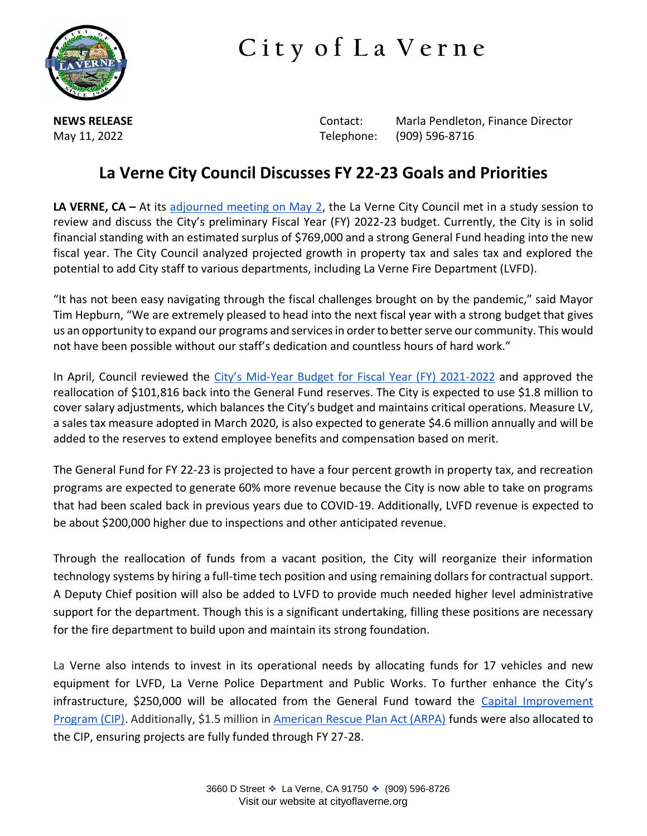

## **C i t y o f L a V e r n e**

**NEWS RELEASE Contact:** Marla Pendleton, Finance Director May 11, 2022 Telephone: (909) 596-8716

## **La Verne City Council Discusses FY 22-23 Goals and Priorities**

**LA VERNE, CA –** At its [adjourned meeting on May 2,](https://laverneca.new.swagit.com/videos/170989) the La Verne City Council met in a study session to review and discuss the City's preliminary Fiscal Year (FY) 2022-23 budget. Currently, the City is in solid financial standing with an estimated surplus of \$769,000 and a strong General Fund heading into the new fiscal year. The City Council analyzed projected growth in property tax and sales tax and explored the potential to add City staff to various departments, including La Verne Fire Department (LVFD).

"It has not been easy navigating through the fiscal challenges brought on by the pandemic," said Mayor Tim Hepburn, "We are extremely pleased to head into the next fiscal year with a strong budget that gives us an opportunity to expand our programs and services in order to better serve our community. This would not have been possible without our staff's dedication and countless hours of hard work."

In April, Council reviewed the City's Mid[-Year Budget for Fiscal Year \(FY\) 2021-2022](https://commondatastorage.googleapis.com/document-uploads-001/uploads/video/agenda_file/158017/City_Council_Agenda_Packet_2022-04-04_18-30.pdf) and approved the reallocation of \$101,816 back into the General Fund reserves. The City is expected to use \$1.8 million to cover salary adjustments, which balances the City's budget and maintains critical operations. Measure LV, a sales tax measure adopted in March 2020, is also expected to generate \$4.6 million annually and will be added to the reserves to extend employee benefits and compensation based on merit.

The General Fund for FY 22-23 is projected to have a four percent growth in property tax, and recreation programs are expected to generate 60% more revenue because the City is now able to take on programs that had been scaled back in previous years due to COVID-19. Additionally, LVFD revenue is expected to be about \$200,000 higher due to inspections and other anticipated revenue.

Through the reallocation of funds from a vacant position, the City will reorganize their information technology systems by hiring a full-time tech position and using remaining dollars for contractual support. A Deputy Chief position will also be added to LVFD to provide much needed higher level administrative support for the department. Though this is a significant undertaking, filling these positions are necessary for the fire department to build upon and maintain its strong foundation.

La Verne also intends to invest in its operational needs by allocating funds for 17 vehicles and new equipment for LVFD, La Verne Police Department and Public Works. To further enhance the City's infrastructure, \$250,000 will be allocated from the General Fund toward the Capital Improvement [Program \(CIP\).](https://www.cityoflaverne.org/DocumentCenter/View/1414/16-Fully-Funded-Capital-Improvement-Projects-Anticipated-for-La-Verne-Community-in-Fiscal-Year-2021-22-PDF?bidId=) Additionally, \$1.5 million in [American Rescue Plan Act \(ARPA\)](https://www.cityoflaverne.org/DocumentCenter/View/1399/ARPA-Study-Session-12-6-21-PDF?bidId=) funds were also allocated to the CIP, ensuring projects are fully funded through FY 27-28.